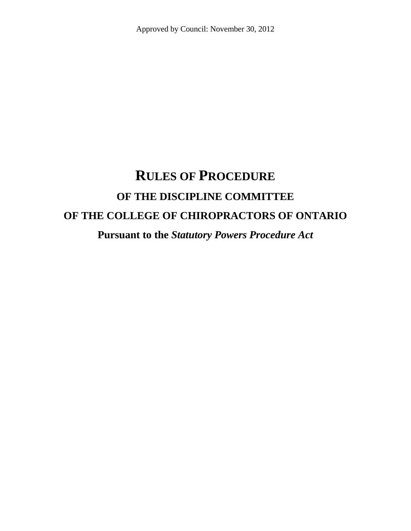# **RULES OF PROCEDURE OF THE DISCIPLINE COMMITTEE OF THE COLLEGE OF CHIROPRACTORS OF ONTARIO**

**Pursuant to the** *Statutory Powers Procedure Act*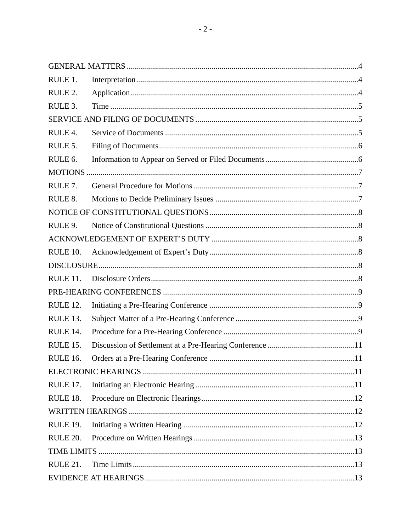| RULE 1.             |    |
|---------------------|----|
| RULE 2.             |    |
| RULE 3.             |    |
|                     |    |
| RULE 4.             |    |
| RULE 5.             |    |
| RULE <sub>6</sub> . |    |
|                     |    |
| RULE 7.             |    |
| RULE 8.             |    |
|                     |    |
| RULE 9.             |    |
|                     |    |
| RULE 10.            |    |
|                     |    |
| RULE 11.            |    |
|                     |    |
| RULE 12.            |    |
|                     |    |
| RULE 13.            |    |
| RULE 14.            |    |
| RULE 15.            |    |
| <b>RULE 16.</b>     | 11 |
|                     |    |
| RULE 17.            |    |
| RULE 18.            |    |
|                     |    |
| RULE 19.            |    |
| RULE 20.            |    |
|                     |    |
| RULE 21.            |    |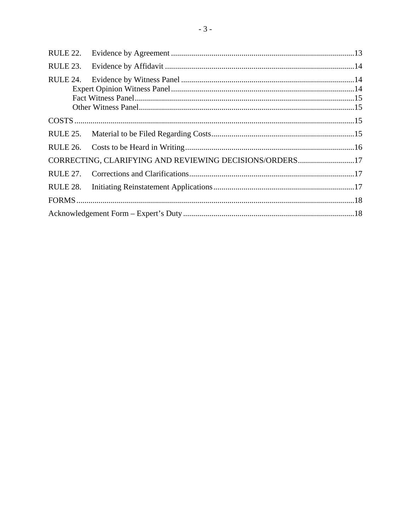| RULE 22. |                                                         |  |  |
|----------|---------------------------------------------------------|--|--|
| RULE 23. |                                                         |  |  |
| RULE 24. |                                                         |  |  |
|          |                                                         |  |  |
|          |                                                         |  |  |
| RULE 26. |                                                         |  |  |
|          | CORRECTING, CLARIFYING AND REVIEWING DECISIONS/ORDERS17 |  |  |
|          |                                                         |  |  |
| RULE 28. |                                                         |  |  |
|          |                                                         |  |  |
|          |                                                         |  |  |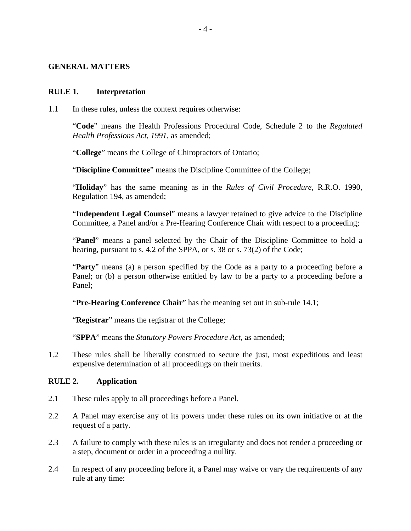#### <span id="page-3-0"></span>**GENERAL MATTERS**

#### **RULE 1. Interpretation**

1.1 In these rules, unless the context requires otherwise:

"**Code**" means the Health Professions Procedural Code, Schedule 2 to the *Regulated Health Professions Act, 1991,* as amended;

"**College**" means the College of Chiropractors of Ontario;

"**Discipline Committee**" means the Discipline Committee of the College;

"**Holiday**" has the same meaning as in the *Rules of Civil Procedure*, R.R.O. 1990, Regulation 194, as amended;

"**Independent Legal Counsel**" means a lawyer retained to give advice to the Discipline Committee, a Panel and/or a Pre-Hearing Conference Chair with respect to a proceeding;

"**Panel**" means a panel selected by the Chair of the Discipline Committee to hold a hearing, pursuant to s. 4.2 of the SPPA, or s. 38 or s. 73(2) of the Code;

"**Party**" means (a) a person specified by the Code as a party to a proceeding before a Panel; or (b) a person otherwise entitled by law to be a party to a proceeding before a Panel;

"**Pre-Hearing Conference Chair**" has the meaning set out in sub-rule [14.1;](#page-8-1)

"**Registrar**" means the registrar of the College;

"**SPPA**" means the *Statutory Powers Procedure Act*, as amended;

1.2 These rules shall be liberally construed to secure the just, most expeditious and least expensive determination of all proceedings on their merits.

#### **RULE 2. Application**

- 2.1 These rules apply to all proceedings before a Panel.
- 2.2 A Panel may exercise any of its powers under these rules on its own initiative or at the request of a party.
- 2.3 A failure to comply with these rules is an irregularity and does not render a proceeding or a step, document or order in a proceeding a nullity.
- 2.4 In respect of any proceeding before it, a Panel may waive or vary the requirements of any rule at any time: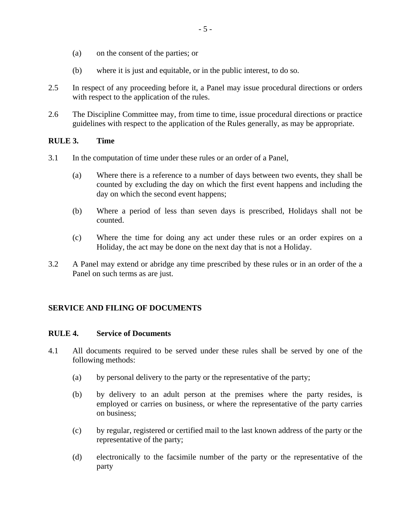- <span id="page-4-0"></span>(a) on the consent of the parties; or
- (b) where it is just and equitable, or in the public interest, to do so.
- 2.5 In respect of any proceeding before it, a Panel may issue procedural directions or orders with respect to the application of the rules.
- 2.6 The Discipline Committee may, from time to time, issue procedural directions or practice guidelines with respect to the application of the Rules generally, as may be appropriate.

#### **RULE 3. Time**

- 3.1 In the computation of time under these rules or an order of a Panel,
	- (a) Where there is a reference to a number of days between two events, they shall be counted by excluding the day on which the first event happens and including the day on which the second event happens;
	- (b) Where a period of less than seven days is prescribed, Holidays shall not be counted.
	- (c) Where the time for doing any act under these rules or an order expires on a Holiday, the act may be done on the next day that is not a Holiday.
- 3.2 A Panel may extend or abridge any time prescribed by these rules or in an order of the a Panel on such terms as are just.

## **SERVICE AND FILING OF DOCUMENTS**

#### **RULE 4. Service of Documents**

- <span id="page-4-1"></span>4.1 All documents required to be served under these rules shall be served by one of the following methods:
	- (a) by personal delivery to the party or the representative of the party;
	- (b) by delivery to an adult person at the premises where the party resides, is employed or carries on business, or where the representative of the party carries on business;
	- (c) by regular, registered or certified mail to the last known address of the party or the representative of the party;
	- (d) electronically to the facsimile number of the party or the representative of the party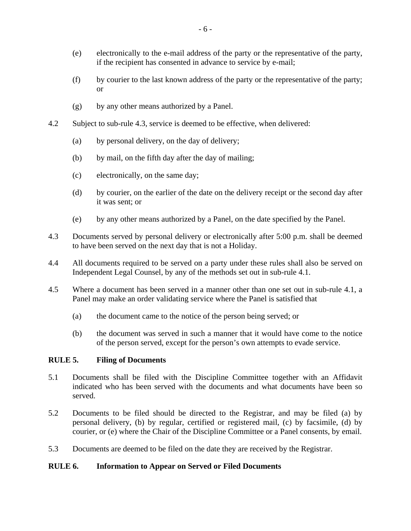- <span id="page-5-0"></span>(e) electronically to the e-mail address of the party or the representative of the party, if the recipient has consented in advance to service by e-mail;
- (f) by courier to the last known address of the party or the representative of the party; or
- (g) by any other means authorized by a Panel.
- 4.2 Subject to sub-rule [4.3,](#page-5-1) service is deemed to be effective, when delivered:
	- (a) by personal delivery, on the day of delivery;
	- (b) by mail, on the fifth day after the day of mailing;
	- (c) electronically, on the same day;
	- (d) by courier, on the earlier of the date on the delivery receipt or the second day after it was sent; or
	- (e) by any other means authorized by a Panel, on the date specified by the Panel.
- <span id="page-5-1"></span>4.3 Documents served by personal delivery or electronically after 5:00 p.m. shall be deemed to have been served on the next day that is not a Holiday.
- 4.4 All documents required to be served on a party under these rules shall also be served on Independent Legal Counsel, by any of the methods set out in sub-rule [4.1.](#page-4-1)
- 4.5 Where a document has been served in a manner other than one set out in sub-rule [4.1,](#page-4-1) a Panel may make an order validating service where the Panel is satisfied that
	- (a) the document came to the notice of the person being served; or
	- (b) the document was served in such a manner that it would have come to the notice of the person served, except for the person's own attempts to evade service.

#### **RULE 5. Filing of Documents**

- 5.1 Documents shall be filed with the Discipline Committee together with an Affidavit indicated who has been served with the documents and what documents have been so served.
- 5.2 Documents to be filed should be directed to the Registrar, and may be filed (a) by personal delivery, (b) by regular, certified or registered mail, (c) by facsimile, (d) by courier, or (e) where the Chair of the Discipline Committee or a Panel consents, by email.
- 5.3 Documents are deemed to be filed on the date they are received by the Registrar.

#### **RULE 6. Information to Appear on Served or Filed Documents**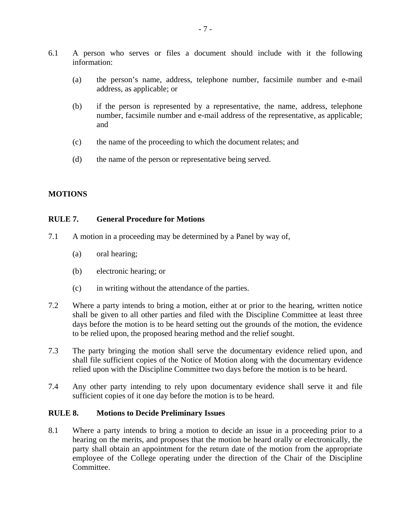- <span id="page-6-0"></span>6.1 A person who serves or files a document should include with it the following information:
	- (a) the person's name, address, telephone number, facsimile number and e-mail address, as applicable; or
	- (b) if the person is represented by a representative, the name, address, telephone number, facsimile number and e-mail address of the representative, as applicable; and
	- (c) the name of the proceeding to which the document relates; and
	- (d) the name of the person or representative being served.

#### **MOTIONS**

#### **RULE 7. General Procedure for Motions**

- 7.1 A motion in a proceeding may be determined by a Panel by way of,
	- (a) oral hearing;
	- (b) electronic hearing; or
	- (c) in writing without the attendance of the parties.
- 7.2 Where a party intends to bring a motion, either at or prior to the hearing, written notice shall be given to all other parties and filed with the Discipline Committee at least three days before the motion is to be heard setting out the grounds of the motion, the evidence to be relied upon, the proposed hearing method and the relief sought.
- 7.3 The party bringing the motion shall serve the documentary evidence relied upon, and shall file sufficient copies of the Notice of Motion along with the documentary evidence relied upon with the Discipline Committee two days before the motion is to be heard.
- 7.4 Any other party intending to rely upon documentary evidence shall serve it and file sufficient copies of it one day before the motion is to be heard.

#### **RULE 8. Motions to Decide Preliminary Issues**

8.1 Where a party intends to bring a motion to decide an issue in a proceeding prior to a hearing on the merits, and proposes that the motion be heard orally or electronically, the party shall obtain an appointment for the return date of the motion from the appropriate employee of the College operating under the direction of the Chair of the Discipline Committee.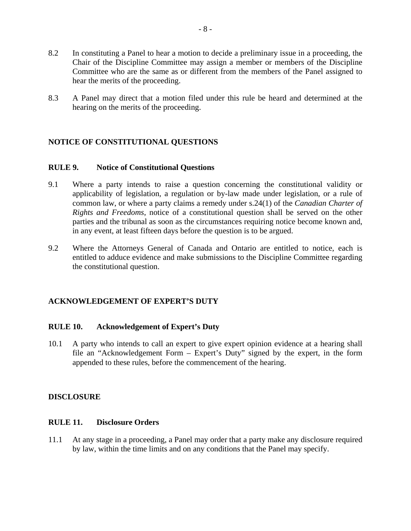- <span id="page-7-0"></span>8.2 In constituting a Panel to hear a motion to decide a preliminary issue in a proceeding, the Chair of the Discipline Committee may assign a member or members of the Discipline Committee who are the same as or different from the members of the Panel assigned to hear the merits of the proceeding.
- 8.3 A Panel may direct that a motion filed under this rule be heard and determined at the hearing on the merits of the proceeding.

#### **NOTICE OF CONSTITUTIONAL QUESTIONS**

#### **RULE 9. Notice of Constitutional Questions**

- 9.1 Where a party intends to raise a question concerning the constitutional validity or applicability of legislation, a regulation or by-law made under legislation, or a rule of common law, or where a party claims a remedy under s.24(1) of the *Canadian Charter of Rights and Freedoms*, notice of a constitutional question shall be served on the other parties and the tribunal as soon as the circumstances requiring notice become known and, in any event, at least fifteen days before the question is to be argued.
- 9.2 Where the Attorneys General of Canada and Ontario are entitled to notice, each is entitled to adduce evidence and make submissions to the Discipline Committee regarding the constitutional question.

#### **ACKNOWLEDGEMENT OF EXPERT'S DUTY**

#### **RULE 10. Acknowledgement of Expert's Duty**

10.1 A party who intends to call an expert to give expert opinion evidence at a hearing shall file an "Acknowledgement Form – Expert's Duty" signed by the expert, in the form appended to these rules, before the commencement of the hearing.

#### **DISCLOSURE**

#### **RULE 11. Disclosure Orders**

11.1 At any stage in a proceeding, a Panel may order that a party make any disclosure required by law, within the time limits and on any conditions that the Panel may specify.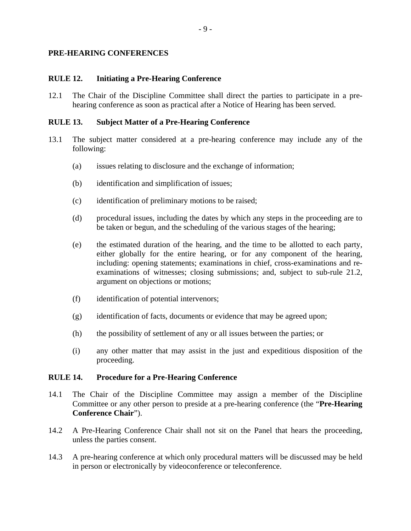#### <span id="page-8-0"></span>**PRE-HEARING CONFERENCES**

#### **RULE 12. Initiating a Pre-Hearing Conference**

12.1 The Chair of the Discipline Committee shall direct the parties to participate in a prehearing conference as soon as practical after a Notice of Hearing has been served.

#### **RULE 13. Subject Matter of a Pre-Hearing Conference**

- 13.1 The subject matter considered at a pre-hearing conference may include any of the following:
	- (a) issues relating to disclosure and the exchange of information;
	- (b) identification and simplification of issues;
	- (c) identification of preliminary motions to be raised;
	- (d) procedural issues, including the dates by which any steps in the proceeding are to be taken or begun, and the scheduling of the various stages of the hearing;
	- (e) the estimated duration of the hearing, and the time to be allotted to each party, either globally for the entire hearing, or for any component of the hearing, including: opening statements; examinations in chief, cross-examinations and reexaminations of witnesses; closing submissions; and, subject to sub-rule [21.2,](#page-12-1) argument on objections or motions;
	- (f) identification of potential intervenors;
	- (g) identification of facts, documents or evidence that may be agreed upon;
	- (h) the possibility of settlement of any or all issues between the parties; or
	- (i) any other matter that may assist in the just and expeditious disposition of the proceeding.

#### **RULE 14. Procedure for a Pre-Hearing Conference**

- <span id="page-8-1"></span>14.1 The Chair of the Discipline Committee may assign a member of the Discipline Committee or any other person to preside at a pre-hearing conference (the "**Pre-Hearing Conference Chair**").
- 14.2 A Pre-Hearing Conference Chair shall not sit on the Panel that hears the proceeding, unless the parties consent.
- 14.3 A pre-hearing conference at which only procedural matters will be discussed may be held in person or electronically by videoconference or teleconference.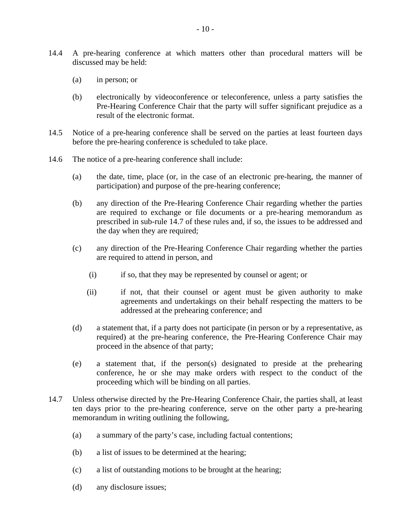- 14.4 A pre-hearing conference at which matters other than procedural matters will be discussed may be held:
	- (a) in person; or
	- (b) electronically by videoconference or teleconference, unless a party satisfies the Pre-Hearing Conference Chair that the party will suffer significant prejudice as a result of the electronic format.
- 14.5 Notice of a pre-hearing conference shall be served on the parties at least fourteen days before the pre-hearing conference is scheduled to take place.
- 14.6 The notice of a pre-hearing conference shall include:
	- (a) the date, time, place (or, in the case of an electronic pre-hearing, the manner of participation) and purpose of the pre-hearing conference;
	- (b) any direction of the Pre-Hearing Conference Chair regarding whether the parties are required to exchange or file documents or a pre-hearing memorandum as prescribed in sub-rule [14.7](#page-9-0) of these rules and, if so, the issues to be addressed and the day when they are required;
	- (c) any direction of the Pre-Hearing Conference Chair regarding whether the parties are required to attend in person, and
		- (i) if so, that they may be represented by counsel or agent; or
		- (ii) if not, that their counsel or agent must be given authority to make agreements and undertakings on their behalf respecting the matters to be addressed at the prehearing conference; and
	- (d) a statement that, if a party does not participate (in person or by a representative, as required) at the pre-hearing conference, the Pre-Hearing Conference Chair may proceed in the absence of that party;
	- (e) a statement that, if the person(s) designated to preside at the prehearing conference, he or she may make orders with respect to the conduct of the proceeding which will be binding on all parties.
- <span id="page-9-0"></span>14.7 Unless otherwise directed by the Pre-Hearing Conference Chair, the parties shall, at least ten days prior to the pre-hearing conference, serve on the other party a pre-hearing memorandum in writing outlining the following,
	- (a) a summary of the party's case, including factual contentions;
	- (b) a list of issues to be determined at the hearing;
	- (c) a list of outstanding motions to be brought at the hearing;
	- (d) any disclosure issues;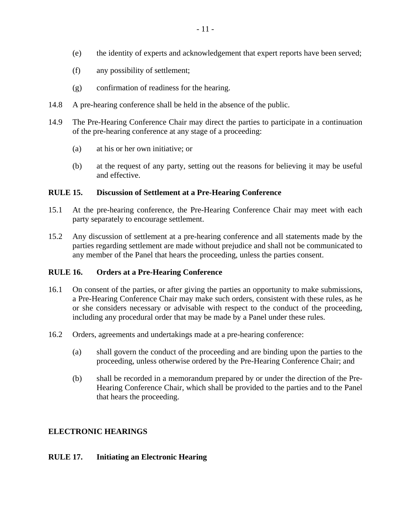- <span id="page-10-0"></span>(e) the identity of experts and acknowledgement that expert reports have been served;
- (f) any possibility of settlement;
- (g) confirmation of readiness for the hearing.
- 14.8 A pre-hearing conference shall be held in the absence of the public.
- 14.9 The Pre-Hearing Conference Chair may direct the parties to participate in a continuation of the pre-hearing conference at any stage of a proceeding:
	- (a) at his or her own initiative; or
	- (b) at the request of any party, setting out the reasons for believing it may be useful and effective.

#### **RULE 15. Discussion of Settlement at a Pre-Hearing Conference**

- 15.1 At the pre-hearing conference, the Pre-Hearing Conference Chair may meet with each party separately to encourage settlement.
- 15.2 Any discussion of settlement at a pre-hearing conference and all statements made by the parties regarding settlement are made without prejudice and shall not be communicated to any member of the Panel that hears the proceeding, unless the parties consent.

#### **RULE 16. Orders at a Pre-Hearing Conference**

- 16.1 On consent of the parties, or after giving the parties an opportunity to make submissions, a Pre-Hearing Conference Chair may make such orders, consistent with these rules, as he or she considers necessary or advisable with respect to the conduct of the proceeding, including any procedural order that may be made by a Panel under these rules.
- 16.2 Orders, agreements and undertakings made at a pre-hearing conference:
	- (a) shall govern the conduct of the proceeding and are binding upon the parties to the proceeding, unless otherwise ordered by the Pre-Hearing Conference Chair; and
	- (b) shall be recorded in a memorandum prepared by or under the direction of the Pre-Hearing Conference Chair, which shall be provided to the parties and to the Panel that hears the proceeding.

#### **ELECTRONIC HEARINGS**

#### **RULE 17. Initiating an Electronic Hearing**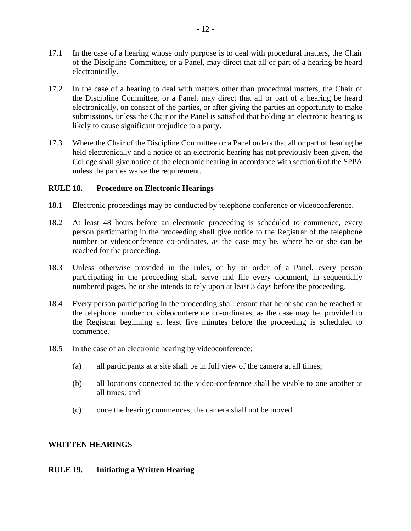- <span id="page-11-0"></span>17.1 In the case of a hearing whose only purpose is to deal with procedural matters, the Chair of the Discipline Committee, or a Panel, may direct that all or part of a hearing be heard electronically.
- 17.2 In the case of a hearing to deal with matters other than procedural matters, the Chair of the Discipline Committee, or a Panel, may direct that all or part of a hearing be heard electronically, on consent of the parties, or after giving the parties an opportunity to make submissions, unless the Chair or the Panel is satisfied that holding an electronic hearing is likely to cause significant prejudice to a party.
- 17.3 Where the Chair of the Discipline Committee or a Panel orders that all or part of hearing be held electronically and a notice of an electronic hearing has not previously been given, the College shall give notice of the electronic hearing in accordance with section 6 of the SPPA unless the parties waive the requirement.

#### **RULE 18. Procedure on Electronic Hearings**

- 18.1 Electronic proceedings may be conducted by telephone conference or videoconference.
- 18.2 At least 48 hours before an electronic proceeding is scheduled to commence, every person participating in the proceeding shall give notice to the Registrar of the telephone number or videoconference co-ordinates, as the case may be, where he or she can be reached for the proceeding.
- 18.3 Unless otherwise provided in the rules, or by an order of a Panel, every person participating in the proceeding shall serve and file every document, in sequentially numbered pages, he or she intends to rely upon at least 3 days before the proceeding.
- 18.4 Every person participating in the proceeding shall ensure that he or she can be reached at the telephone number or videoconference co-ordinates, as the case may be, provided to the Registrar beginning at least five minutes before the proceeding is scheduled to commence.
- 18.5 In the case of an electronic hearing by videoconference:
	- (a) all participants at a site shall be in full view of the camera at all times;
	- (b) all locations connected to the video-conference shall be visible to one another at all times; and
	- (c) once the hearing commences, the camera shall not be moved.

#### **WRITTEN HEARINGS**

#### **RULE 19. Initiating a Written Hearing**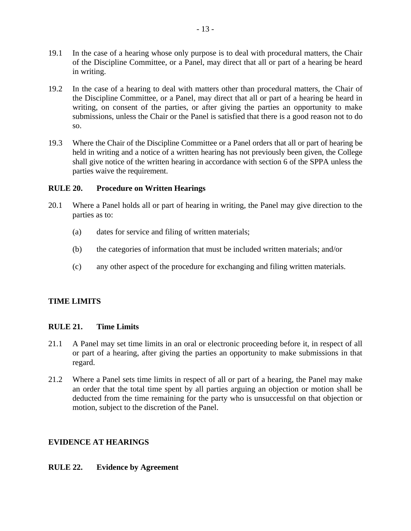- <span id="page-12-0"></span>19.1 In the case of a hearing whose only purpose is to deal with procedural matters, the Chair of the Discipline Committee, or a Panel, may direct that all or part of a hearing be heard in writing.
- 19.2 In the case of a hearing to deal with matters other than procedural matters, the Chair of the Discipline Committee, or a Panel, may direct that all or part of a hearing be heard in writing, on consent of the parties, or after giving the parties an opportunity to make submissions, unless the Chair or the Panel is satisfied that there is a good reason not to do so.
- 19.3 Where the Chair of the Discipline Committee or a Panel orders that all or part of hearing be held in writing and a notice of a written hearing has not previously been given, the College shall give notice of the written hearing in accordance with section 6 of the SPPA unless the parties waive the requirement.

#### **RULE 20. Procedure on Written Hearings**

- 20.1 Where a Panel holds all or part of hearing in writing, the Panel may give direction to the parties as to:
	- (a) dates for service and filing of written materials;
	- (b) the categories of information that must be included written materials; and/or
	- (c) any other aspect of the procedure for exchanging and filing written materials.

## **TIME LIMITS**

#### **RULE 21. Time Limits**

- 21.1 A Panel may set time limits in an oral or electronic proceeding before it, in respect of all or part of a hearing, after giving the parties an opportunity to make submissions in that regard.
- <span id="page-12-1"></span>21.2 Where a Panel sets time limits in respect of all or part of a hearing, the Panel may make an order that the total time spent by all parties arguing an objection or motion shall be deducted from the time remaining for the party who is unsuccessful on that objection or motion, subject to the discretion of the Panel.

#### **EVIDENCE AT HEARINGS**

#### **RULE 22. Evidence by Agreement**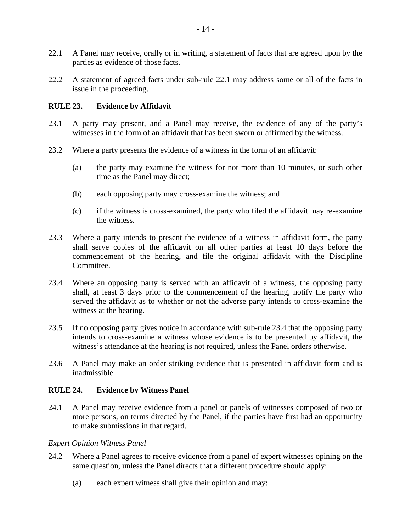- <span id="page-13-1"></span><span id="page-13-0"></span>22.1 A Panel may receive, orally or in writing, a statement of facts that are agreed upon by the parties as evidence of those facts.
- 22.2 A statement of agreed facts under sub-rule [22.1](#page-13-1) may address some or all of the facts in issue in the proceeding.

#### <span id="page-13-3"></span>**RULE 23. Evidence by Affidavit**

- 23.1 A party may present, and a Panel may receive, the evidence of any of the party's witnesses in the form of an affidavit that has been sworn or affirmed by the witness.
- 23.2 Where a party presents the evidence of a witness in the form of an affidavit:
	- (a) the party may examine the witness for not more than 10 minutes, or such other time as the Panel may direct;
	- (b) each opposing party may cross-examine the witness; and
	- (c) if the witness is cross-examined, the party who filed the affidavit may re-examine the witness.
- 23.3 Where a party intends to present the evidence of a witness in affidavit form, the party shall serve copies of the affidavit on all other parties at least 10 days before the commencement of the hearing, and file the original affidavit with the Discipline Committee.
- <span id="page-13-2"></span>23.4 Where an opposing party is served with an affidavit of a witness, the opposing party shall, at least 3 days prior to the commencement of the hearing, notify the party who served the affidavit as to whether or not the adverse party intends to cross-examine the witness at the hearing.
- 23.5 If no opposing party gives notice in accordance with sub-rule [23.4](#page-13-2) that the opposing party intends to cross-examine a witness whose evidence is to be presented by affidavit, the witness's attendance at the hearing is not required, unless the Panel orders otherwise.
- 23.6 A Panel may make an order striking evidence that is presented in affidavit form and is inadmissible.

#### **RULE 24. Evidence by Witness Panel**

24.1 A Panel may receive evidence from a panel or panels of witnesses composed of two or more persons, on terms directed by the Panel, if the parties have first had an opportunity to make submissions in that regard.

#### *Expert Opinion Witness Panel*

- 24.2 Where a Panel agrees to receive evidence from a panel of expert witnesses opining on the same question, unless the Panel directs that a different procedure should apply:
	- (a) each expert witness shall give their opinion and may: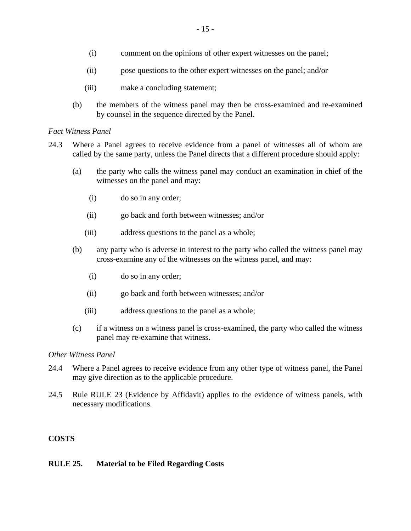- <span id="page-14-0"></span>(i) comment on the opinions of other expert witnesses on the panel;
- (ii) pose questions to the other expert witnesses on the panel; and/or
- (iii) make a concluding statement;
- (b) the members of the witness panel may then be cross-examined and re-examined by counsel in the sequence directed by the Panel.

#### *Fact Witness Panel*

- 24.3 Where a Panel agrees to receive evidence from a panel of witnesses all of whom are called by the same party, unless the Panel directs that a different procedure should apply:
	- (a) the party who calls the witness panel may conduct an examination in chief of the witnesses on the panel and may:
		- (i) do so in any order;
		- (ii) go back and forth between witnesses; and/or
		- (iii) address questions to the panel as a whole;
	- (b) any party who is adverse in interest to the party who called the witness panel may cross-examine any of the witnesses on the witness panel, and may:
		- (i) do so in any order;
		- (ii) go back and forth between witnesses; and/or
		- (iii) address questions to the panel as a whole;
	- (c) if a witness on a witness panel is cross-examined, the party who called the witness panel may re-examine that witness.

#### *Other Witness Panel*

- 24.4 Where a Panel agrees to receive evidence from any other type of witness panel, the Panel may give direction as to the applicable procedure.
- 24.5 Rule [RULE 23](#page-13-3) (Evidence by Affidavit) applies to the evidence of witness panels, with necessary modifications.

#### **COSTS**

#### **RULE 25. Material to be Filed Regarding Costs**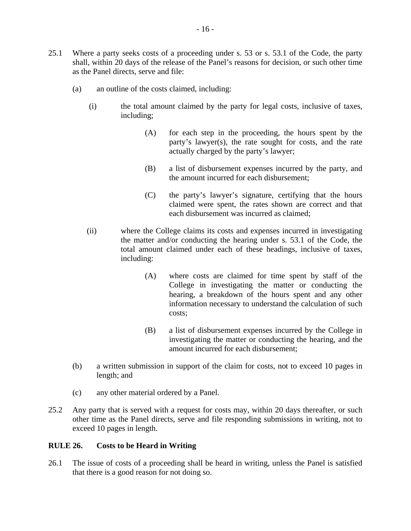- <span id="page-15-0"></span>25.1 Where a party seeks costs of a proceeding under s. 53 or s. 53.1 of the Code, the party shall, within 20 days of the release of the Panel's reasons for decision, or such other time as the Panel directs, serve and file:
	- (a) an outline of the costs claimed, including:
		- (i) the total amount claimed by the party for legal costs, inclusive of taxes, including;
			- (A) for each step in the proceeding, the hours spent by the party's lawyer(s), the rate sought for costs, and the rate actually charged by the party's lawyer;
			- (B) a list of disbursement expenses incurred by the party, and the amount incurred for each disbursement;
			- (C) the party's lawyer's signature, certifying that the hours claimed were spent, the rates shown are correct and that each disbursement was incurred as claimed;
		- (ii) where the College claims its costs and expenses incurred in investigating the matter and/or conducting the hearing under s. 53.1 of the Code, the total amount claimed under each of these headings, inclusive of taxes, including:
			- (A) where costs are claimed for time spent by staff of the College in investigating the matter or conducting the hearing, a breakdown of the hours spent and any other information necessary to understand the calculation of such costs;
			- (B) a list of disbursement expenses incurred by the College in investigating the matter or conducting the hearing, and the amount incurred for each disbursement;
	- (b) a written submission in support of the claim for costs, not to exceed 10 pages in length; and
	- (c) any other material ordered by a Panel.
- 25.2 Any party that is served with a request for costs may, within 20 days thereafter, or such other time as the Panel directs, serve and file responding submissions in writing, not to exceed 10 pages in length.

#### **RULE 26. Costs to be Heard in Writing**

26.1 The issue of costs of a proceeding shall be heard in writing, unless the Panel is satisfied that there is a good reason for not doing so.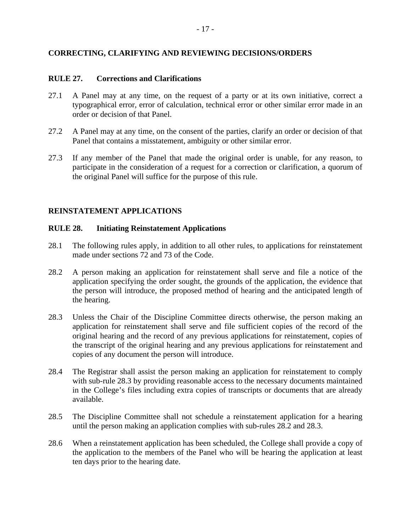#### <span id="page-16-0"></span>**CORRECTING, CLARIFYING AND REVIEWING DECISIONS/ORDERS**

#### **RULE 27. Corrections and Clarifications**

- 27.1 A Panel may at any time, on the request of a party or at its own initiative, correct a typographical error, error of calculation, technical error or other similar error made in an order or decision of that Panel.
- 27.2 A Panel may at any time, on the consent of the parties, clarify an order or decision of that Panel that contains a misstatement, ambiguity or other similar error.
- 27.3 If any member of the Panel that made the original order is unable, for any reason, to participate in the consideration of a request for a correction or clarification, a quorum of the original Panel will suffice for the purpose of this rule.

#### **REINSTATEMENT APPLICATIONS**

#### **RULE 28. Initiating Reinstatement Applications**

- 28.1 The following rules apply, in addition to all other rules, to applications for reinstatement made under sections 72 and 73 of the Code.
- <span id="page-16-2"></span>28.2 A person making an application for reinstatement shall serve and file a notice of the application specifying the order sought, the grounds of the application, the evidence that the person will introduce, the proposed method of hearing and the anticipated length of the hearing.
- <span id="page-16-1"></span>28.3 Unless the Chair of the Discipline Committee directs otherwise, the person making an application for reinstatement shall serve and file sufficient copies of the record of the original hearing and the record of any previous applications for reinstatement, copies of the transcript of the original hearing and any previous applications for reinstatement and copies of any document the person will introduce.
- 28.4 The Registrar shall assist the person making an application for reinstatement to comply with sub-rule [28.3](#page-16-1) by providing reasonable access to the necessary documents maintained in the College's files including extra copies of transcripts or documents that are already available.
- 28.5 The Discipline Committee shall not schedule a reinstatement application for a hearing until the person making an application complies with sub-rules [28.2](#page-16-2) and [28.3](#page-16-1).
- 28.6 When a reinstatement application has been scheduled, the College shall provide a copy of the application to the members of the Panel who will be hearing the application at least ten days prior to the hearing date.